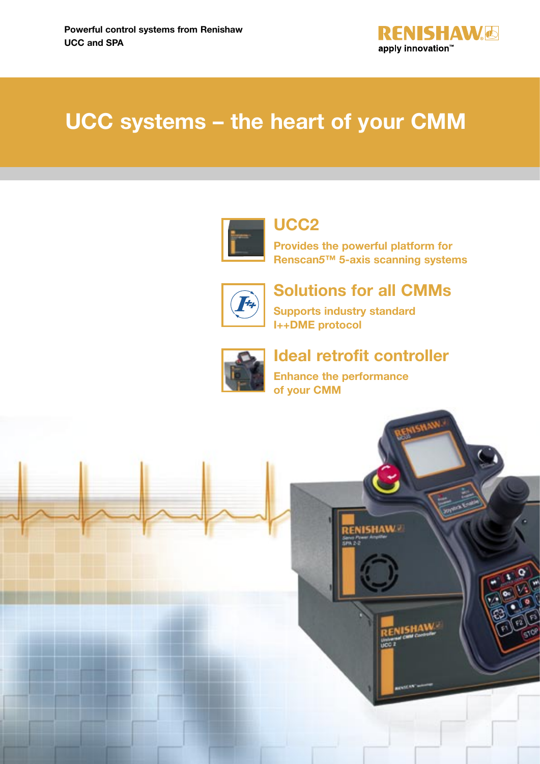

# **UCC systems – the heart of your CMM**



**UCC2**

**Provides the powerful platform for Renscan***5***™ 5-axis scanning systems**



**Solutions for all CMMs**

**Supports industry standard I++DME protocol**



**Ideal retrofit controller**

**Enhance the performance of your CMM**

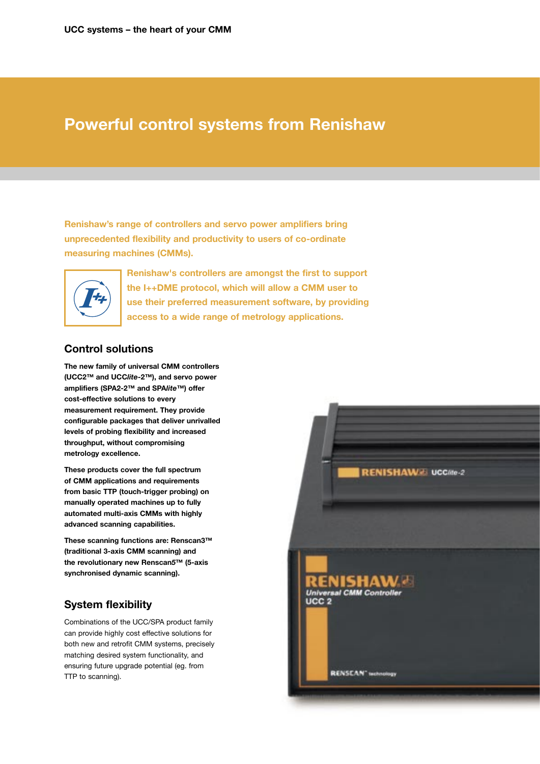## **Powerful control systems from Renishaw**

**Renishaw's range of controllers and servo power amplifiers bring unprecedented flexibility and productivity to users of co-ordinate measuring machines (CMMs).**



**Renishaw's controllers are amongst the first to support the I++DME protocol, which will allow a CMM user to use their preferred measurement software, by providing access to a wide range of metrology applications.**

## **Control solutions**

**The new family of universal CMM controllers (UCC2™ and UCC***lite***-2™), and servo power amplifiers (SPA2-2™ and SPA***lite***™) offer cost-effective solutions to every measurement requirement. They provide configurable packages that deliver unrivalled levels of probing flexibility and increased throughput, without compromising metrology excellence.**

**These products cover the full spectrum of CMM applications and requirements from basic TTP (touch-trigger probing) on manually operated machines up to fully automated multi-axis CMMs with highly advanced scanning capabilities.**

**These scanning functions are: Renscan3™ (traditional 3-axis CMM scanning) and the revolutionary new Renscan***5***™ (5-axis synchronised dynamic scanning).** 

## **System flexibility**

Combinations of the UCC/SPA product family can provide highly cost effective solutions for both new and retrofit CMM systems, precisely matching desired system functionality, and ensuring future upgrade potential (eg. from TTP to scanning).

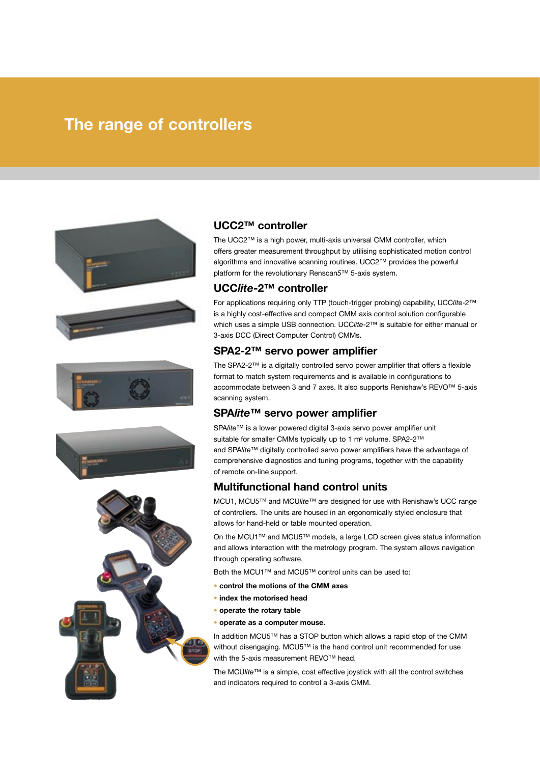## **The range of controllers**









## **UCC2™ controller**

The UCC2™ is a high power, multi-axis universal CMM controller, which offers greater measurement throughput by utilising sophisticated motion control algorithms and innovative scanning routines. UCC2™ provides the powerful platform for the revolutionary Renscan*5*™ 5-axis system.

## **UCC***lite***-2™ controller**

For applications requiring only TTP (touch-trigger probing) capability, UCC*lite*-2™ is a highly cost-effective and compact CMM axis control solution configurable which uses a simple USB connection. UCC*lite*-2™ is suitable for either manual or 3-axis DCC (Direct Computer Control) CMMs.

## **SPA2-2™ servo power amplifier**

The SPA2-2™ is a digitally controlled servo power amplifier that offers a flexible format to match system requirements and is available in configurations to accommodate between 3 and 7 axes. It also supports Renishaw's REVO™ 5-axis scanning system.

## **SPA***lite***™ servo power amplifier**

SPA*lite*™ is a lower powered digital 3-axis servo power amplifier unit suitable for smaller CMMs typically up to 1 m<sup>3</sup> volume. SPA2-2™ and SPA*lite*™ digitally controlled servo power amplifiers have the advantage of comprehensive diagnostics and tuning programs, together with the capability of remote on-line support.

## **Multifunctional hand control units**

MCU1, MCU5™ and MCU*lite*™ are designed for use with Renishaw's UCC range of controllers. The units are housed in an ergonomically styled enclosure that allows for hand-held or table mounted operation.

On the MCU1™ and MCU5™ models, a large LCD screen gives status information and allows interaction with the metrology program. The system allows navigation through operating software.

Both the MCU1™ and MCU5™ control units can be used to:

- **control the motions of the CMM axes**
- **index the motorised head**
- **operate the rotary table**
- **operate as a computer mouse.**

In addition MCU5™ has a STOP button which allows a rapid stop of the CMM without disengaging. MCU5™ is the hand control unit recommended for use with the 5-axis measurement REVO™ head.

The MCU*lite*™ is a simple, cost effective joystick with all the control switches and indicators required to control a 3-axis CMM.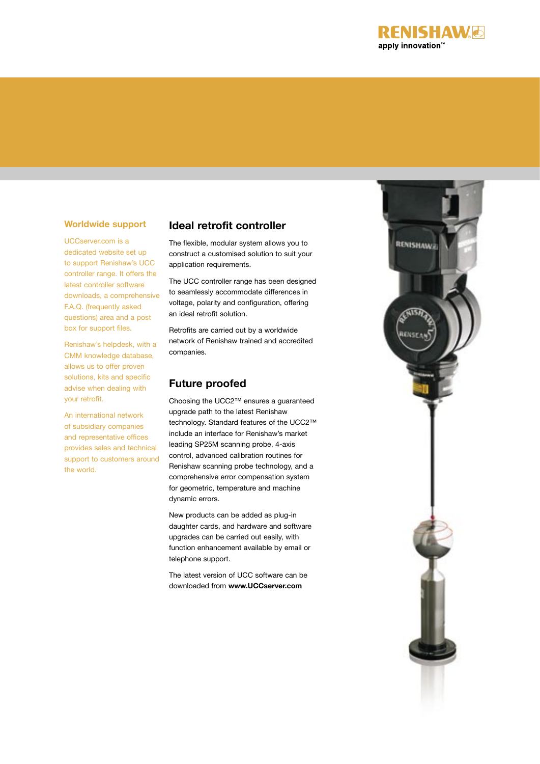

## **Worldwide support**

UCCserver.com is a dedicated website set up to support Renishaw's UCC controller range. It offers the latest controller software downloads, a comprehensive F.A.Q. (frequently asked questions) area and a post box for support files.

Renishaw's helpdesk, with a CMM knowledge database, allows us to offer proven solutions, kits and specific advise when dealing with your retrofit.

An international network of subsidiary companies and representative offices provides sales and technical support to customers around the world.

## **Ideal retrofit controller**

The flexible, modular system allows you to construct a customised solution to suit your application requirements.

The UCC controller range has been designed to seamlessly accommodate differences in voltage, polarity and configuration, offering an ideal retrofit solution.

Retrofits are carried out by a worldwide network of Renishaw trained and accredited companies.

## **Future proofed**

Choosing the UCC2™ ensures a guaranteed upgrade path to the latest Renishaw technology. Standard features of the UCC2™ include an interface for Renishaw's market leading SP25M scanning probe, 4-axis control, advanced calibration routines for Renishaw scanning probe technology, and a comprehensive error compensation system for geometric, temperature and machine dynamic errors.

New products can be added as plug-in daughter cards, and hardware and software upgrades can be carried out easily, with function enhancement available by email or telephone support.

The latest version of UCC software can be downloaded from **www.UCCserver.com**

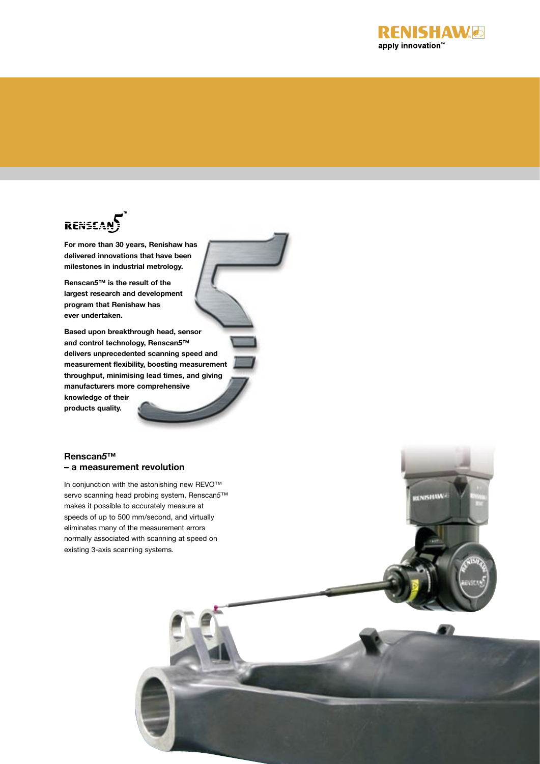

# RENSEANS

**For more than 30 years, Renishaw has delivered innovations that have been milestones in industrial metrology.** 

**Renscan***5***™ is the result of the largest research and development program that Renishaw has ever undertaken.** 

**Based upon breakthrough head, sensor and control technology, Renscan***5***™ delivers unprecedented scanning speed and measurement flexibility, boosting measurement throughput, minimising lead times, and giving manufacturers more comprehensive knowledge of their products quality.**

## **Renscan***5***™ – a measurement revolution**

In conjunction with the astonishing new REVO™ servo scanning head probing system, Renscan*5*™ makes it possible to accurately measure at speeds of up to 500 mm/second, and virtually eliminates many of the measurement errors normally associated with scanning at speed on existing 3-axis scanning systems.